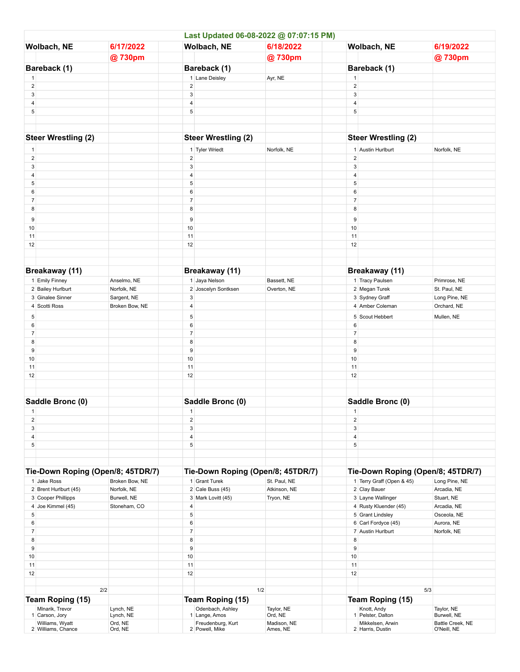|                                   |                                       |                                   |                         | Last Updated 06-08-2022 @ 07:07:15 PM) |                                   |                  |                                      |                                 |
|-----------------------------------|---------------------------------------|-----------------------------------|-------------------------|----------------------------------------|-----------------------------------|------------------|--------------------------------------|---------------------------------|
| Wolbach, NE                       |                                       | 6/17/2022                         | Wolbach, NE             |                                        | 6/18/2022                         | Wolbach, NE      |                                      | 6/19/2022                       |
|                                   |                                       | @730pm                            |                         |                                        | @730pm                            |                  |                                      | @730pm                          |
|                                   | Bareback (1)                          |                                   |                         | Bareback (1)                           |                                   |                  | Bareback (1)                         |                                 |
| $\mathbf{1}$                      |                                       |                                   |                         | 1 Lane Deisley                         | Ayr, NE                           | $\mathbf{1}$     |                                      |                                 |
| $\sqrt{2}$                        |                                       |                                   | $\overline{\mathbf{c}}$ |                                        |                                   | $\sqrt{2}$       |                                      |                                 |
| $\sqrt{3}$                        |                                       |                                   | 3                       |                                        |                                   | $\sqrt{3}$       |                                      |                                 |
| 4                                 |                                       |                                   | 4                       |                                        |                                   | 4                |                                      |                                 |
| 5                                 |                                       |                                   | 5                       |                                        |                                   | 5                |                                      |                                 |
|                                   |                                       |                                   |                         |                                        |                                   |                  |                                      |                                 |
|                                   |                                       |                                   |                         |                                        |                                   |                  |                                      |                                 |
|                                   | <b>Steer Wrestling (2)</b>            |                                   |                         | <b>Steer Wrestling (2)</b>             |                                   |                  | <b>Steer Wrestling (2)</b>           |                                 |
| $\mathbf{1}$                      |                                       |                                   |                         | 1 Tyler Wriedt                         | Norfolk, NE                       |                  | 1 Austin Hurlburt                    | Norfolk, NE                     |
| $\overline{c}$                    |                                       |                                   | $\overline{\mathbf{c}}$ |                                        |                                   | $\sqrt{2}$       |                                      |                                 |
| 3                                 |                                       |                                   | 3                       |                                        |                                   | $\mathbf{3}$     |                                      |                                 |
| 4                                 |                                       |                                   | 4                       |                                        |                                   | 4                |                                      |                                 |
| 5                                 |                                       |                                   | 5                       |                                        |                                   | 5                |                                      |                                 |
| 6                                 |                                       |                                   | 6                       |                                        |                                   | 6                |                                      |                                 |
| $\overline{7}$                    |                                       |                                   | $\overline{7}$          |                                        |                                   | $\boldsymbol{7}$ |                                      |                                 |
| 8                                 |                                       |                                   | 8                       |                                        |                                   | 8                |                                      |                                 |
| 9                                 |                                       |                                   | 9                       |                                        |                                   | 9                |                                      |                                 |
| 10                                |                                       |                                   | 10                      |                                        |                                   | 10               |                                      |                                 |
| 11                                |                                       |                                   | 11                      |                                        |                                   | 11               |                                      |                                 |
| 12                                |                                       |                                   | 12                      |                                        |                                   | 12               |                                      |                                 |
|                                   |                                       |                                   |                         |                                        |                                   |                  |                                      |                                 |
|                                   |                                       |                                   |                         |                                        |                                   |                  |                                      |                                 |
|                                   | Breakaway (11)                        |                                   |                         | Breakaway (11)                         |                                   |                  | Breakaway (11)                       |                                 |
|                                   | 1 Emily Finney                        | Anselmo, NE                       |                         | 1 Jaya Nelson                          | Bassett, NE                       |                  | 1 Tracy Paulsen                      | Primrose, NE                    |
|                                   | 2 Bailey Hurlburt                     | Norfolk, NE                       |                         | 2 Joscelyn Sontksen                    | Overton, NE                       |                  | 2 Megan Turek                        | St. Paul, NE                    |
|                                   | 3 Ginalee Sinner                      | Sargent, NE                       | 3                       |                                        |                                   |                  | 3 Sydney Graff                       | Long Pine, NE                   |
|                                   | 4 Scotti Ross                         | Broken Bow, NE                    | 4                       |                                        |                                   |                  | 4 Amber Coleman                      | Orchard, NE                     |
| 5                                 |                                       |                                   | 5                       |                                        |                                   |                  | 5 Scout Hebbert                      | Mullen, NE                      |
| 6                                 |                                       |                                   | 6                       |                                        |                                   | 6                |                                      |                                 |
| $\overline{7}$                    |                                       |                                   | $\overline{7}$          |                                        |                                   | $\overline{7}$   |                                      |                                 |
| 8                                 |                                       |                                   | 8                       |                                        |                                   | 8                |                                      |                                 |
| 9                                 |                                       |                                   | 9                       |                                        |                                   | 9<br>10          |                                      |                                 |
| 10<br>11                          |                                       |                                   | 10<br>11                |                                        |                                   | 11               |                                      |                                 |
| 12                                |                                       |                                   | 12                      |                                        |                                   | 12               |                                      |                                 |
|                                   |                                       |                                   |                         |                                        |                                   |                  |                                      |                                 |
|                                   |                                       |                                   |                         |                                        |                                   |                  |                                      |                                 |
| Saddle Bronc (0)                  |                                       |                                   |                         | Saddle Bronc (0)                       |                                   |                  | Saddle Bronc (0)                     |                                 |
| Т.                                |                                       |                                   | л                       |                                        |                                   | Т.               |                                      |                                 |
| $\sqrt{2}$                        |                                       |                                   | $\overline{\mathbf{c}}$ |                                        |                                   | $\overline{2}$   |                                      |                                 |
| $\mathbf{3}$                      |                                       |                                   | 3                       |                                        |                                   | $\mathbf{3}$     |                                      |                                 |
| 4                                 |                                       |                                   | 4                       |                                        |                                   | 4                |                                      |                                 |
| 5                                 |                                       |                                   | 5                       |                                        |                                   | $\sqrt{5}$       |                                      |                                 |
|                                   |                                       |                                   |                         |                                        |                                   |                  |                                      |                                 |
|                                   |                                       |                                   |                         |                                        |                                   |                  |                                      |                                 |
| Tie-Down Roping (Open/8; 45TDR/7) |                                       | Tie-Down Roping (Open/8; 45TDR/7) |                         |                                        | Tie-Down Roping (Open/8; 45TDR/7) |                  |                                      |                                 |
|                                   | 1 Jake Ross                           | Broken Bow, NE                    |                         | 1 Grant Turek                          | St. Paul, NE                      |                  | 1 Terry Graff (Open & 45)            | Long Pine, NE                   |
|                                   | 2 Brent Hurlburt (45)                 | Norfolk, NE                       |                         | 2 Cale Buss (45)                       | Atkinson, NE                      |                  | 2 Clay Bauer                         | Arcadia, NE                     |
|                                   | 3 Cooper Phillipps                    | Burwell, NE                       |                         | 3 Mark Lovitt (45)                     | Tryon, NE                         |                  | 3 Layne Wallinger                    | Stuart, NE                      |
|                                   | 4 Joe Kimmel (45)                     | Stoneham, CO                      | 4                       |                                        |                                   |                  | 4 Rusty Kluender (45)                | Arcadia, NE                     |
| 5                                 |                                       |                                   | 5                       |                                        |                                   |                  | 5 Grant Lindsley                     | Osceola, NE                     |
| 6                                 |                                       |                                   | 6                       |                                        |                                   |                  | 6 Carl Fordyce (45)                  | Aurora, NE                      |
| $\overline{7}$                    |                                       |                                   | $\overline{7}$          |                                        |                                   |                  | 7 Austin Hurlburt                    | Norfolk, NE                     |
| 8<br>9                            |                                       |                                   | 8<br>9                  |                                        |                                   | 8<br>9           |                                      |                                 |
| 10                                |                                       |                                   | 10                      |                                        |                                   | 10               |                                      |                                 |
| 11                                |                                       |                                   | 11                      |                                        |                                   | 11               |                                      |                                 |
| 12                                |                                       |                                   | 12                      |                                        |                                   | 12               |                                      |                                 |
|                                   |                                       |                                   |                         |                                        |                                   |                  |                                      |                                 |
|                                   | 2/2                                   |                                   |                         | 1/2                                    |                                   |                  | 5/3                                  |                                 |
| Team Roping (15)                  |                                       |                                   |                         | Team Roping (15)                       |                                   |                  | Team Roping (15)                     |                                 |
|                                   | Mlnarik, Trevor                       | Lynch, NE                         |                         | Odenbach, Ashley                       | Taylor, NE                        |                  | Knott, Andy                          | Taylor, NE                      |
|                                   | 1 Carson, Jory                        | Lynch, NE                         |                         | 1 Lange, Amos                          | Ord, NE                           |                  | 1 Pelster, Dalton                    | Burwell, NE                     |
|                                   | Williams, Wyatt<br>2 Williams, Chance | Ord, NE<br>Ord, NE                |                         | Freudenburg, Kurt<br>2 Powell, Mike    | Madison, NE<br>Ames, NE           |                  | Mikkelsen, Arwin<br>2 Harris, Dustin | Battle Creek, NE<br>O'Neill, NE |